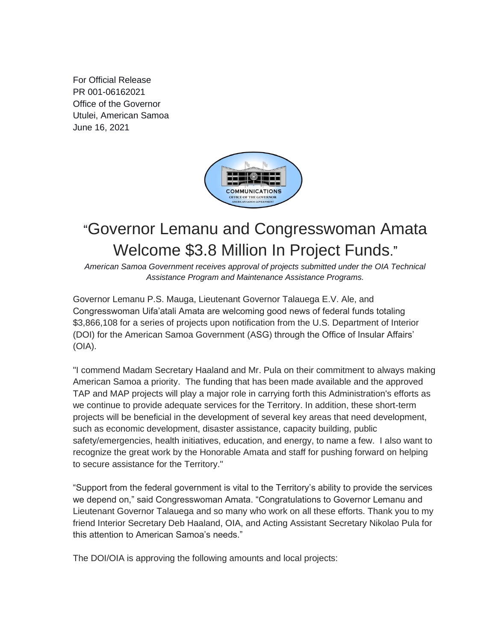For Official Release PR 001-06162021 Office of the Governor Utulei, American Samoa June 16, 2021



## "Governor Lemanu and Congresswoman Amata Welcome \$3.8 Million In Project Funds."

*American Samoa Government receives approval of projects submitted under the OIA Technical Assistance Program and Maintenance Assistance Programs.*

Governor Lemanu P.S. Mauga, Lieutenant Governor Talauega E.V. Ale, and Congresswoman Uifa'atali Amata are welcoming good news of federal funds totaling \$3,866,108 for a series of projects upon notification from the U.S. Department of Interior (DOI) for the American Samoa Government (ASG) through the Office of Insular Affairs' (OIA).

"I commend Madam Secretary Haaland and Mr. Pula on their commitment to always making American Samoa a priority. The funding that has been made available and the approved TAP and MAP projects will play a major role in carrying forth this Administration's efforts as we continue to provide adequate services for the Territory. In addition, these short-term projects will be beneficial in the development of several key areas that need development, such as economic development, disaster assistance, capacity building, public safety/emergencies, health initiatives, education, and energy, to name a few. I also want to recognize the great work by the Honorable Amata and staff for pushing forward on helping to secure assistance for the Territory."

"Support from the federal government is vital to the Territory's ability to provide the services we depend on," said Congresswoman Amata. "Congratulations to Governor Lemanu and Lieutenant Governor Talauega and so many who work on all these efforts. Thank you to my friend Interior Secretary Deb Haaland, OIA, and Acting Assistant Secretary Nikolao Pula for this attention to American Samoa's needs."

The DOI/OIA is approving the following amounts and local projects: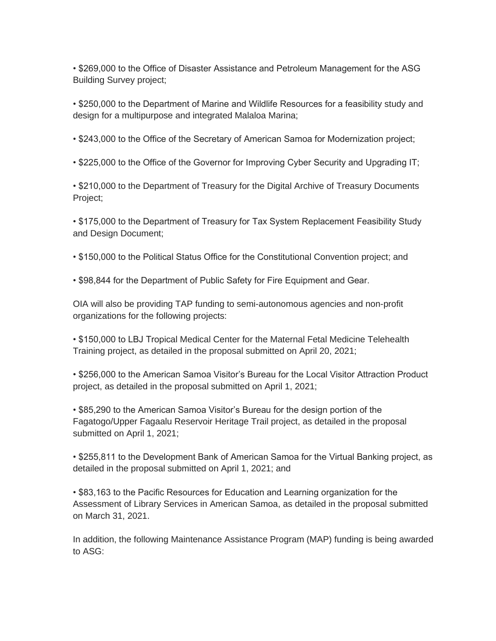• \$269,000 to the Office of Disaster Assistance and Petroleum Management for the ASG Building Survey project;

• \$250,000 to the Department of Marine and Wildlife Resources for a feasibility study and design for a multipurpose and integrated Malaloa Marina;

• \$243,000 to the Office of the Secretary of American Samoa for Modernization project;

• \$225,000 to the Office of the Governor for Improving Cyber Security and Upgrading IT;

• \$210,000 to the Department of Treasury for the Digital Archive of Treasury Documents Project;

• \$175,000 to the Department of Treasury for Tax System Replacement Feasibility Study and Design Document;

• \$150,000 to the Political Status Office for the Constitutional Convention project; and

• \$98,844 for the Department of Public Safety for Fire Equipment and Gear.

OIA will also be providing TAP funding to semi-autonomous agencies and non-profit organizations for the following projects:

• \$150,000 to LBJ Tropical Medical Center for the Maternal Fetal Medicine Telehealth Training project, as detailed in the proposal submitted on April 20, 2021;

• \$256,000 to the American Samoa Visitor's Bureau for the Local Visitor Attraction Product project, as detailed in the proposal submitted on April 1, 2021;

• \$85,290 to the American Samoa Visitor's Bureau for the design portion of the Fagatogo/Upper Fagaalu Reservoir Heritage Trail project, as detailed in the proposal submitted on April 1, 2021;

• \$255,811 to the Development Bank of American Samoa for the Virtual Banking project, as detailed in the proposal submitted on April 1, 2021; and

• \$83,163 to the Pacific Resources for Education and Learning organization for the Assessment of Library Services in American Samoa, as detailed in the proposal submitted on March 31, 2021.

In addition, the following Maintenance Assistance Program (MAP) funding is being awarded to ASG: